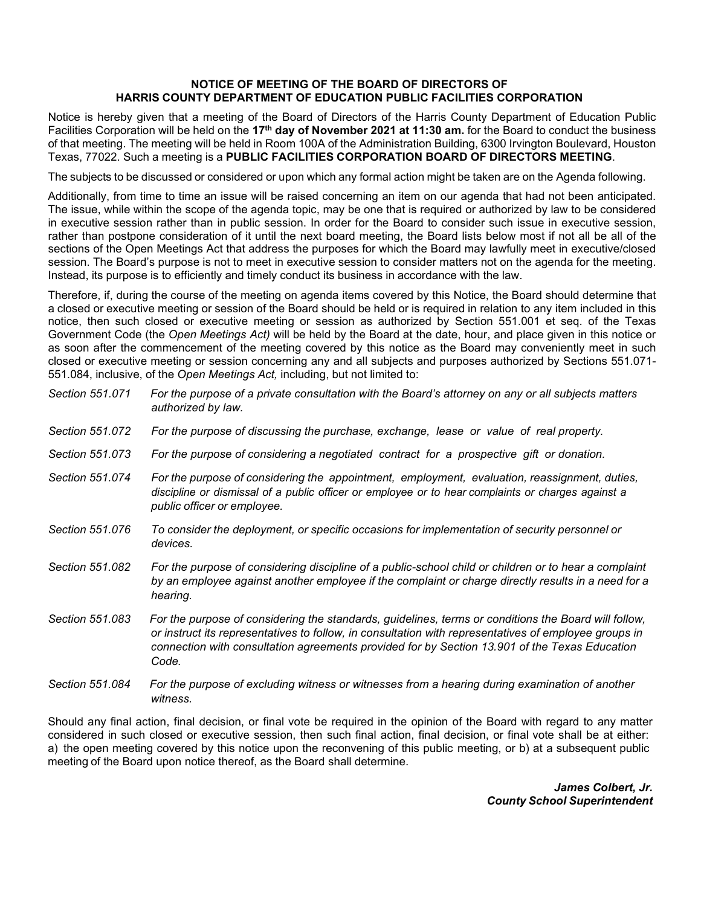## **NOTICE OF MEETING OF THE BOARD OF DIRECTORS OF HARRIS COUNTY DEPARTMENT OF EDUCATION PUBLIC FACILITIES CORPORATION**

Notice is hereby given that a meeting of the Board of Directors of the Harris County Department of Education Public Facilities Corporation will be held on the **17th day of November 2021 at 11:30 am.** for the Board to conduct the business of that meeting. The meeting will be held in Room 100A of the Administration Building, 6300 Irvington Boulevard, Houston Texas, 77022. Such a meeting is a **PUBLIC FACILITIES CORPORATION BOARD OF DIRECTORS MEETING**.

The subjects to be discussed or considered or upon which any formal action might be taken are on the Agenda following.

Additionally, from time to time an issue will be raised concerning an item on our agenda that had not been anticipated. The issue, while within the scope of the agenda topic, may be one that is required or authorized by law to be considered in executive session rather than in public session. In order for the Board to consider such issue in executive session, rather than postpone consideration of it until the next board meeting, the Board lists below most if not all be all of the sections of the Open Meetings Act that address the purposes for which the Board may lawfully meet in executive/closed session. The Board's purpose is not to meet in executive session to consider matters not on the agenda for the meeting. Instead, its purpose is to efficiently and timely conduct its business in accordance with the law.

Therefore, if, during the course of the meeting on agenda items covered by this Notice, the Board should determine that a closed or executive meeting or session of the Board should be held or is required in relation to any item included in this notice, then such closed or executive meeting or session as authorized by Section 551.001 et seq. of the Texas Government Code (the *Open Meetings Act)* will be held by the Board at the date, hour, and place given in this notice or as soon after the commencement of the meeting covered by this notice as the Board may conveniently meet in such closed or executive meeting or session concerning any and all subjects and purposes authorized by Sections 551.071- 551.084, inclusive, of the *Open Meetings Act,* including, but not limited to:

| Section 551.071 | For the purpose of a private consultation with the Board's attorney on any or all subjects matters<br>authorized by law.                                                                                                                                                                                                |
|-----------------|-------------------------------------------------------------------------------------------------------------------------------------------------------------------------------------------------------------------------------------------------------------------------------------------------------------------------|
| Section 551.072 | For the purpose of discussing the purchase, exchange, lease or value of real property.                                                                                                                                                                                                                                  |
| Section 551,073 | For the purpose of considering a negotiated contract for a prospective gift or donation.                                                                                                                                                                                                                                |
| Section 551.074 | For the purpose of considering the appointment, employment, evaluation, reassignment, duties,<br>discipline or dismissal of a public officer or employee or to hear complaints or charges against a<br>public officer or employee.                                                                                      |
| Section 551,076 | To consider the deployment, or specific occasions for implementation of security personnel or<br>devices.                                                                                                                                                                                                               |
| Section 551.082 | For the purpose of considering discipline of a public-school child or children or to hear a complaint<br>by an employee against another employee if the complaint or charge directly results in a need for a<br>hearing.                                                                                                |
| Section 551.083 | For the purpose of considering the standards, guidelines, terms or conditions the Board will follow,<br>or instruct its representatives to follow, in consultation with representatives of employee groups in<br>connection with consultation agreements provided for by Section 13.901 of the Texas Education<br>Code. |
| Section 551,084 | For the purpose of excluding witness or witnesses from a hearing during examination of another                                                                                                                                                                                                                          |

Should any final action, final decision, or final vote be required in the opinion of the Board with regard to any matter considered in such closed or executive session, then such final action, final decision, or final vote shall be at either: a) the open meeting covered by this notice upon the reconvening of this public meeting, or b) at a subsequent public

*witness.*

meeting of the Board upon notice thereof, as the Board shall determine.

*James Colbert, Jr. County School Superintendent*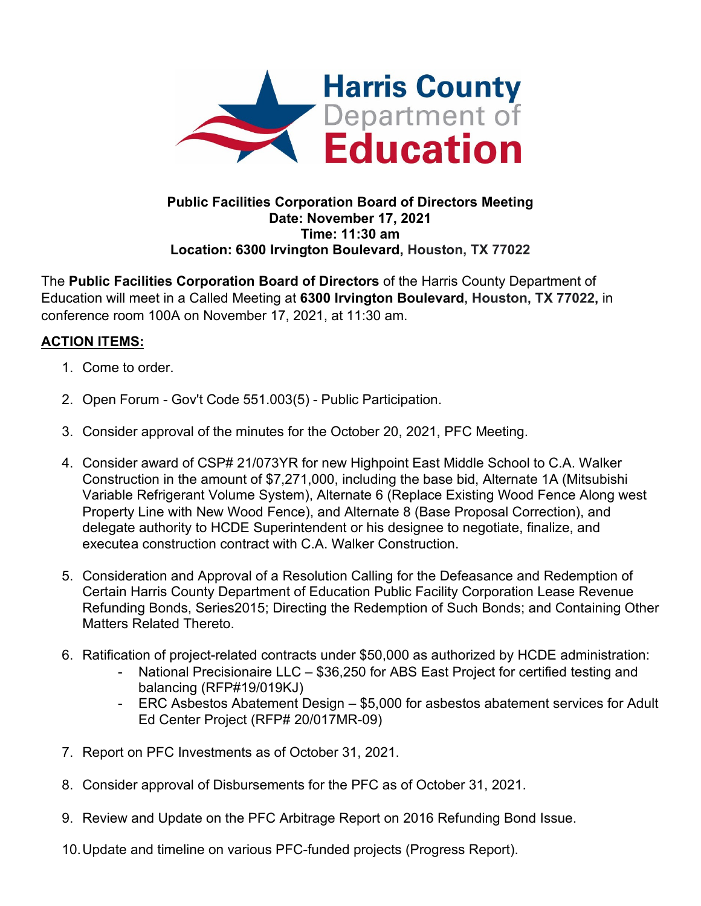

## **Public Facilities Corporation Board of Directors Meeting Date: November 17, 2021 Time: 11:30 am Location: 6300 Irvington Boulevard, Houston, TX 77022**

The **Public Facilities Corporation Board of Directors** of the Harris County Department of Education will meet in a Called Meeting at **6300 Irvington Boulevard, Houston, TX 77022,** in conference room 100A on November 17, 2021, at 11:30 am.

## **ACTION ITEMS:**

- 1. Come to order.
- 2. Open Forum Gov't Code 551.003(5) Public Participation.
- 3. Consider approval of the minutes for the October 20, 2021, PFC Meeting.
- 4. Consider award of CSP# 21/073YR for new Highpoint East Middle School to C.A. Walker Construction in the amount of \$7,271,000, including the base bid, Alternate 1A (Mitsubishi Variable Refrigerant Volume System), Alternate 6 (Replace Existing Wood Fence Along west Property Line with New Wood Fence), and Alternate 8 (Base Proposal Correction), and delegate authority to HCDE Superintendent or his designee to negotiate, finalize, and executea construction contract with C.A. Walker Construction.
- 5. Consideration and Approval of a Resolution Calling for the Defeasance and Redemption of Certain Harris County Department of Education Public Facility Corporation Lease Revenue Refunding Bonds, Series2015; Directing the Redemption of Such Bonds; and Containing Other Matters Related Thereto.
- 6. Ratification of project-related contracts under \$50,000 as authorized by HCDE administration:
	- National Precisionaire LLC \$36,250 for ABS East Project for certified testing and balancing (RFP#19/019KJ)
	- ERC Asbestos Abatement Design \$5,000 for asbestos abatement services for Adult Ed Center Project (RFP# 20/017MR-09)
- 7. Report on PFC Investments as of October 31, 2021.
- 8. Consider approval of Disbursements for the PFC as of October 31, 2021.
- 9. Review and Update on the PFC Arbitrage Report on 2016 Refunding Bond Issue.
- 10.Update and timeline on various PFC-funded projects (Progress Report).